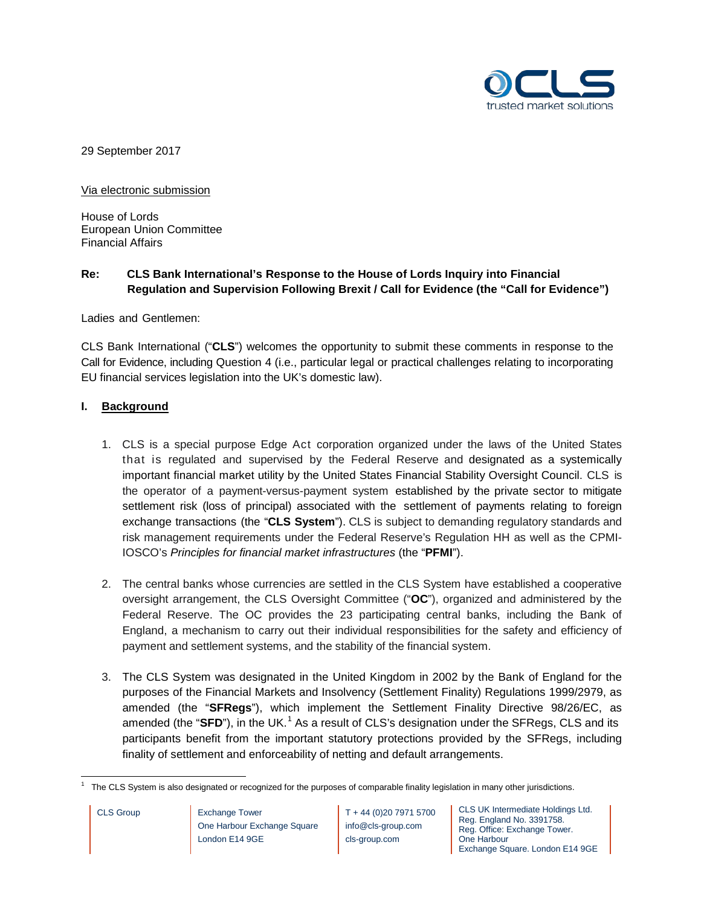

29 September 2017

Via electronic submission

House of Lords European Union Committee Financial Affairs

# **Re: CLS Bank International's Response to the House of Lords Inquiry into Financial Regulation and Supervision Following Brexit / Call for Evidence (the "Call for Evidence")**

Ladies and Gentlemen:

CLS Bank International ("**CLS**") welcomes the opportunity to submit these comments in response to the Call for Evidence, including Question 4 (i.e., particular legal or practical challenges relating to incorporating EU financial services legislation into the UK's domestic law).

## **I. Background**

- 1. CLS is a special purpose Edge Act corporation organized under the laws of the United States that is regulated and supervised by the Federal Reserve and designated as a systemically important financial market utility by the United States Financial Stability Oversight Council. CLS is the operator of a payment-versus-payment system established by the private sector to mitigate settlement risk (loss of principal) associated with the settlement of payments relating to foreign exchange transactions (the "**CLS System**"). CLS is subject to demanding regulatory standards and risk management requirements under the Federal Reserve's Regulation HH as well as the CPMI-IOSCO's *Principles for financial market infrastructures* (the "**PFMI**").
- 2. The central banks whose currencies are settled in the CLS System have established a cooperative oversight arrangement, the CLS Oversight Committee ("**OC**"), organized and administered by the Federal Reserve. The OC provides the 23 participating central banks, including the Bank of England, a mechanism to carry out their individual responsibilities for the safety and efficiency of payment and settlement systems, and the stability of the financial system.
- 3. The CLS System was designated in the United Kingdom in 2002 by the Bank of England for the purposes of the Financial Markets and Insolvency (Settlement Finality) Regulations 1999/2979, as amended (the "**SFRegs**"), which implement the Settlement Finality Directive 98/26/EC, as amended (the "**SFD**"), in the UK.<sup>[1](#page-0-0)</sup> As a result of CLS's designation under the SFRegs, CLS and its participants benefit from the important statutory protections provided by the SFRegs, including finality of settlement and enforceability of netting and default arrangements.

CLS Group **Exchange Tower** One Harbour Exchange Square London E14 9GE

T + 44 (0)20 7971 5700 info@cls-group.com cls-group.com

CLS UK Intermediate Holdings Ltd. Reg. England No. 3391758. Reg. Office: Exchange Tower. One Harbour Exchange Square. London E14 9GE

<span id="page-0-0"></span>The CLS System is also designated or recognized for the purposes of comparable finality legislation in many other jurisdictions.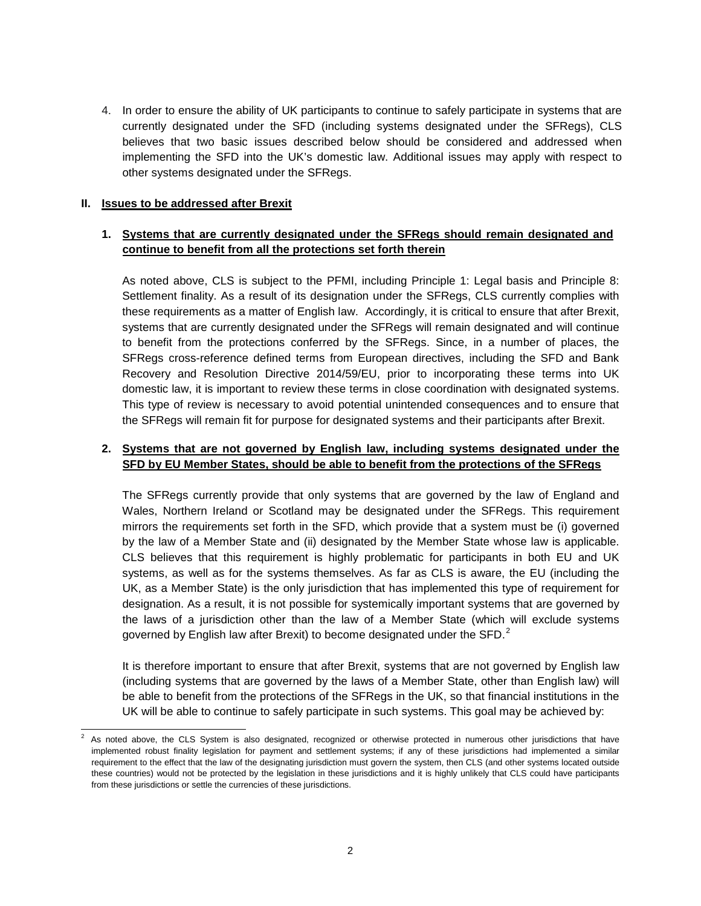4. In order to ensure the ability of UK participants to continue to safely participate in systems that are currently designated under the SFD (including systems designated under the SFRegs), CLS believes that two basic issues described below should be considered and addressed when implementing the SFD into the UK's domestic law. Additional issues may apply with respect to other systems designated under the SFRegs.

#### **II. Issues to be addressed after Brexit**

## **1. Systems that are currently designated under the SFRegs should remain designated and continue to benefit from all the protections set forth therein**

As noted above, CLS is subject to the PFMI, including Principle 1: Legal basis and Principle 8: Settlement finality. As a result of its designation under the SFRegs, CLS currently complies with these requirements as a matter of English law. Accordingly, it is critical to ensure that after Brexit, systems that are currently designated under the SFRegs will remain designated and will continue to benefit from the protections conferred by the SFRegs. Since, in a number of places, the SFRegs cross-reference defined terms from European directives, including the SFD and Bank Recovery and Resolution Directive 2014/59/EU, prior to incorporating these terms into UK domestic law, it is important to review these terms in close coordination with designated systems. This type of review is necessary to avoid potential unintended consequences and to ensure that the SFRegs will remain fit for purpose for designated systems and their participants after Brexit.

## **2. Systems that are not governed by English law, including systems designated under the SFD by EU Member States, should be able to benefit from the protections of the SFRegs**

The SFRegs currently provide that only systems that are governed by the law of England and Wales, Northern Ireland or Scotland may be designated under the SFRegs. This requirement mirrors the requirements set forth in the SFD, which provide that a system must be (i) governed by the law of a Member State and (ii) designated by the Member State whose law is applicable. CLS believes that this requirement is highly problematic for participants in both EU and UK systems, as well as for the systems themselves. As far as CLS is aware, the EU (including the UK, as a Member State) is the only jurisdiction that has implemented this type of requirement for designation. As a result, it is not possible for systemically important systems that are governed by the laws of a jurisdiction other than the law of a Member State (which will exclude systems governed by English law after Brexit) to become designated under the SFD. $^2$  $^2$ 

It is therefore important to ensure that after Brexit, systems that are not governed by English law (including systems that are governed by the laws of a Member State, other than English law) will be able to benefit from the protections of the SFRegs in the UK, so that financial institutions in the UK will be able to continue to safely participate in such systems. This goal may be achieved by:

<span id="page-1-0"></span> <sup>2</sup> As noted above, the CLS System is also designated, recognized or otherwise protected in numerous other jurisdictions that have implemented robust finality legislation for payment and settlement systems; if any of these jurisdictions had implemented a similar requirement to the effect that the law of the designating jurisdiction must govern the system, then CLS (and other systems located outside these countries) would not be protected by the legislation in these jurisdictions and it is highly unlikely that CLS could have participants from these jurisdictions or settle the currencies of these jurisdictions.